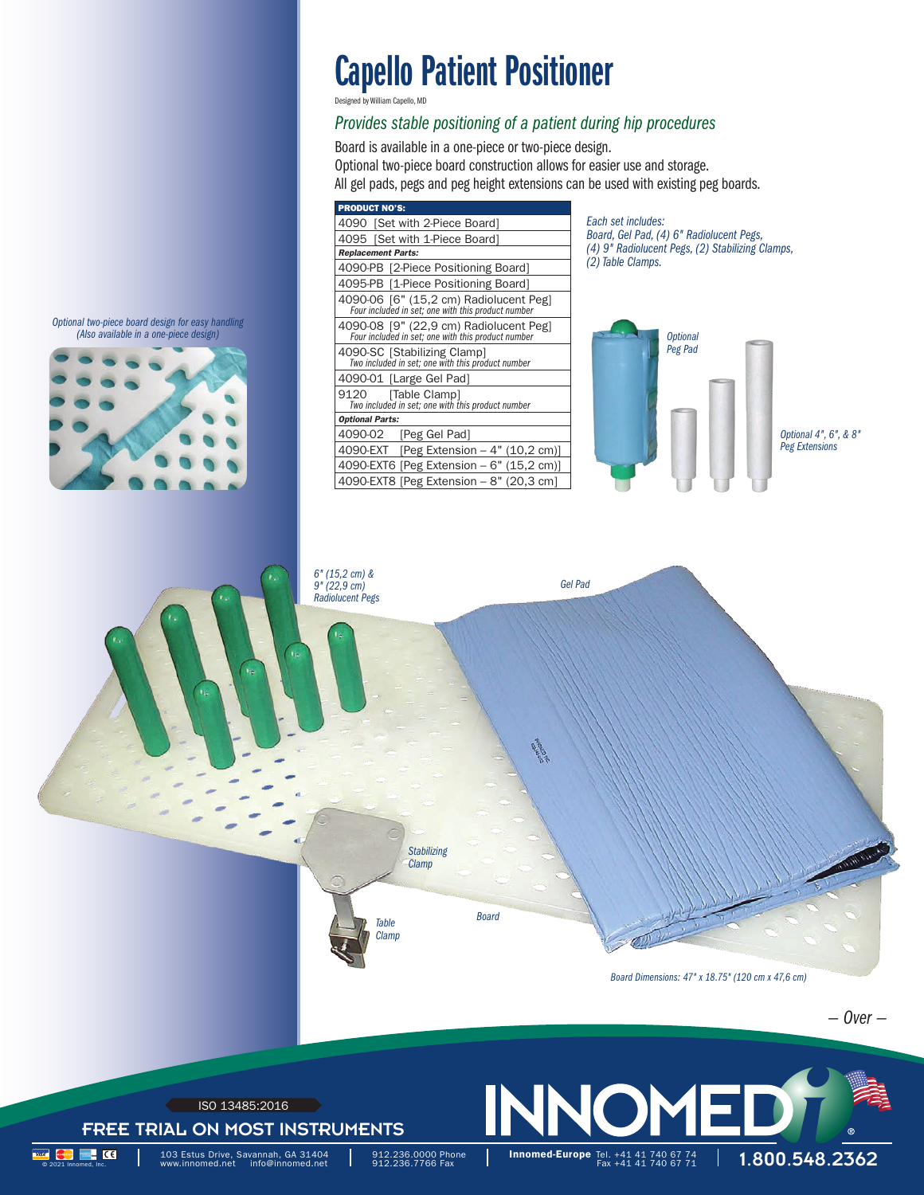## Capello Patient Positioner

Desig

### *Provides stable positioning of a patient during hip procedures*

Board is available in a one-piece or two-piece design. Optional two-piece board construction allows for easier use and storage. All gel pads, pegs and peg height extensions can be used with existing peg boards.

| <b>PRODUCT NO'S:</b>                                                                         |
|----------------------------------------------------------------------------------------------|
| 4090 [Set with 2-Piece Board]                                                                |
| 4095 [Set with 1-Piece Board]                                                                |
| <b>Replacement Parts:</b>                                                                    |
| 4090-PB [2-Piece Positioning Board]                                                          |
| 4095-PB [1-Piece Positioning Board]                                                          |
| 4090-06 [6" (15,2 cm) Radiolucent Peg]<br>Four included in set; one with this product number |
| 4090-08 [9" (22,9 cm) Radiolucent Peg]<br>Four included in set; one with this product number |
| 4090-SC [Stabilizing Clamp]<br>Two included in set; one with this product number             |
| 4090-01 [Large Gel Pad]                                                                      |
| 9120 [Table Clamp]<br>Two included in set; one with this product number                      |
| <b>Optional Parts:</b>                                                                       |
| 4090-02<br>[Peg Gel Pad]                                                                     |
| 4090-EXT [Peg Extension $-4$ " (10,2 cm)]                                                    |
| 4090-EXT6 [Peg Extension - 6" (15,2 cm)]                                                     |
| 4090-EXT8 [Peg Extension – 8" (20,3 cm]                                                      |

*Each set includes: Board, Gel Pad, (4) 6" Rad*io*lucent Pegs, (4) 9" Radiolucent Pegs, (2) Stabilizing Clamps, (2) Table Clamps.*





*Optional two-piece board design for easy handling*





FREE TRIAL ON MOST INSTRUMENTS ISO 13485:2016

103 Estus Drive, Savannah, GA 31404<br>www.innomed.net info@innomed.net

912.236.0000 Phone 912.236.7766 Fax